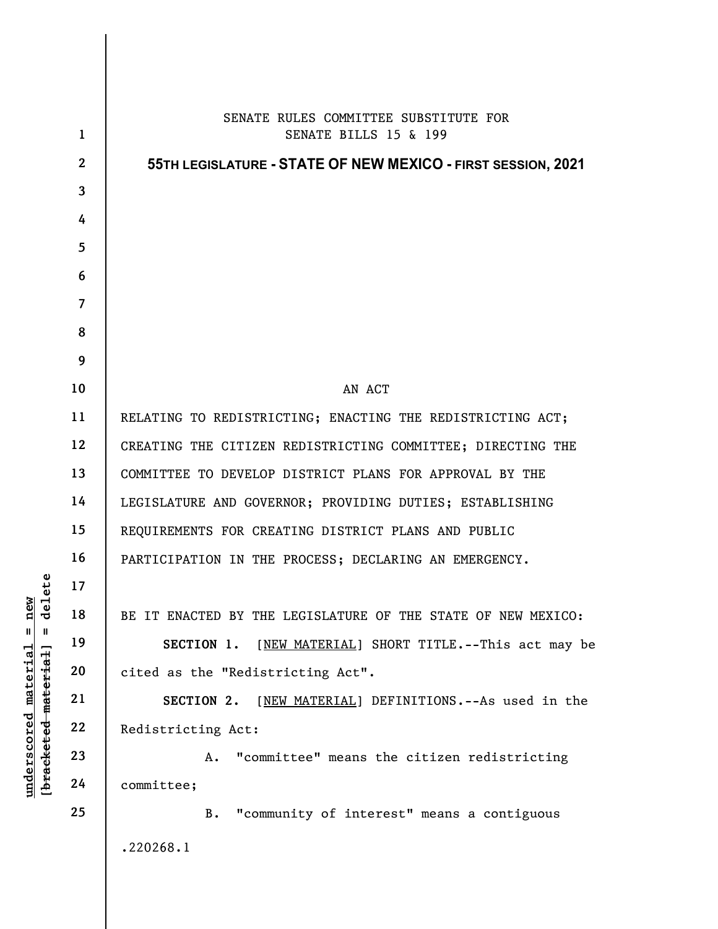|                                         | $\mathbf{1}$    | SENATE RULES COMMITTEE SUBSTITUTE FOR                        |
|-----------------------------------------|-----------------|--------------------------------------------------------------|
|                                         |                 | SENATE BILLS 15 & 199                                        |
|                                         | $\mathbf{2}$    | 55TH LEGISLATURE - STATE OF NEW MEXICO - FIRST SESSION, 2021 |
|                                         | $\overline{3}$  |                                                              |
|                                         | 4               |                                                              |
|                                         | $5\phantom{.0}$ |                                                              |
|                                         | 6               |                                                              |
|                                         | $\overline{7}$  |                                                              |
|                                         | 8               |                                                              |
|                                         | 9               |                                                              |
|                                         | 10              | AN ACT                                                       |
|                                         | 11              | RELATING TO REDISTRICTING; ENACTING THE REDISTRICTING ACT;   |
|                                         | 12              | CREATING THE CITIZEN REDISTRICTING COMMITTEE; DIRECTING THE  |
|                                         | 13              | COMMITTEE TO DEVELOP DISTRICT PLANS FOR APPROVAL BY THE      |
|                                         | 14              | LEGISLATURE AND GOVERNOR; PROVIDING DUTIES; ESTABLISHING     |
|                                         | 15              | REQUIREMENTS FOR CREATING DISTRICT PLANS AND PUBLIC          |
|                                         | 16              | PARTICIPATION IN THE PROCESS; DECLARING AN EMERGENCY.        |
| delete                                  | 17              |                                                              |
| new                                     | 18              | BE IT ENACTED BY THE LEGISLATURE OF THE STATE OF NEW MEXICO: |
| $\mathsf{I}$<br>$\, \, \mathrm{II} \,$  | 19              | [NEW MATERIAL] SHORT TITLE.--This act may be<br>SECTION 1.   |
|                                         | 20              | cited as the "Redistricting Act".                            |
| [bracketed material]<br><u>material</u> | 21              | [NEW MATERIAL] DEFINITIONS. -- As used in the<br>SECTION 2.  |
|                                         | 22              | Redistricting Act:                                           |
| <u>underscored</u>                      | 23              | "committee" means the citizen redistricting<br>Α.            |
|                                         | 24              | committee;                                                   |
|                                         | 25              | "community of interest" means a contiguous<br><b>B.</b>      |
|                                         |                 | .220268.1                                                    |
|                                         |                 |                                                              |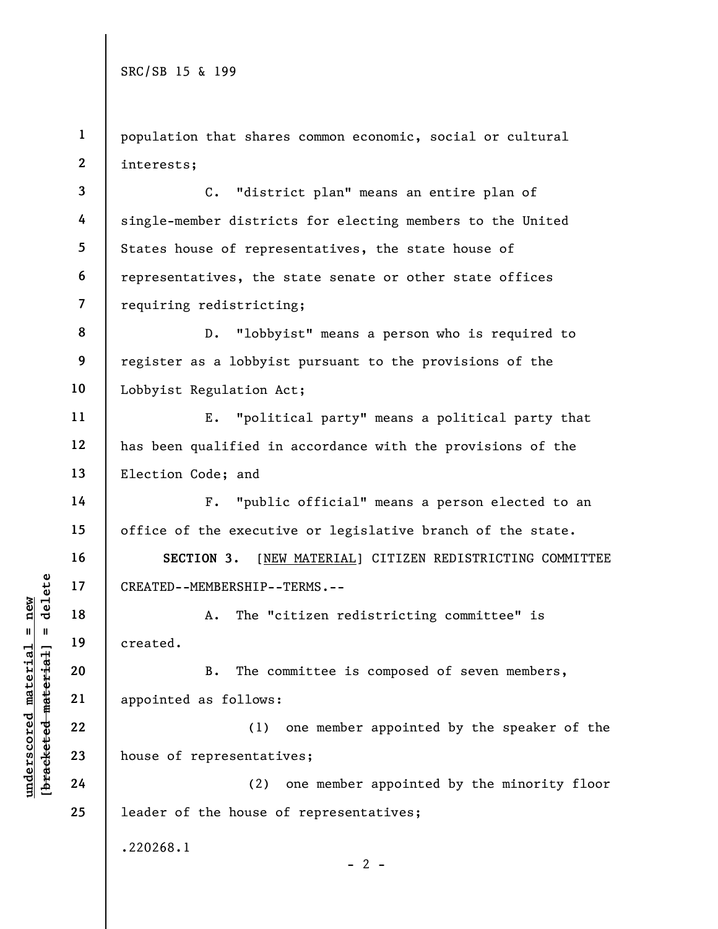1 2 population that shares common economic, social or cultural interests;

3 4 5 6 7 C. "district plan" means an entire plan of single-member districts for electing members to the United States house of representatives, the state house of representatives, the state senate or other state offices requiring redistricting;

8 9 10 D. "lobbyist" means a person who is required to register as a lobbyist pursuant to the provisions of the Lobbyist Regulation Act;

E. "political party" means a political party that has been qualified in accordance with the provisions of the Election Code; and

F. "public official" means a person elected to an office of the executive or legislative branch of the state.

SECTION 3. [NEW MATERIAL] CITIZEN REDISTRICTING COMMITTEE CREATED--MEMBERSHIP--TERMS.--

A. The "citizen redistricting committee" is created.

UNDERTED--MEMBERSHIP--<br>
UNDERTED--MEMBERSHIP--<br>
20<br>
UNDERTED--MEMBERSHIP--<br>
20<br>
21<br>
22<br>
23<br>
24<br>
24<br>
24<br>
22<br>
24<br>
24<br>
22<br>
24<br>
22<br>
24<br>
22<br>
24<br>
22<br>
24<br>
22<br>
24<br>
22<br>
24<br>
22<br>
24 B. The committee is composed of seven members, appointed as follows:

(1) one member appointed by the speaker of the house of representatives;

24 25 (2) one member appointed by the minority floor leader of the house of representatives;

.220268.1

11

12

13

14

15

16

17

18

19

20

21

22

23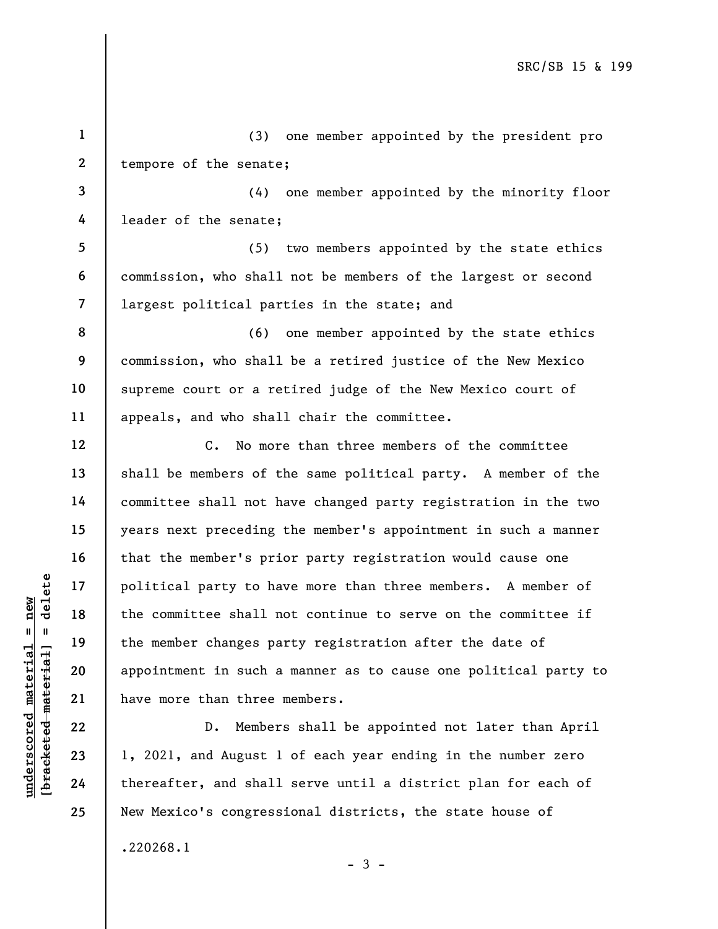understand material party to have the committee shall not the committee shall not the member changes particularly to the member changes particularly and appointment in such a have more than three  $\begin{array}{c|c} 21 & \text{have more than three} \\ 22$ 1 2 3 4 5 6 7 8 9 10 11 12 13 14 15 16 17 18 19 20 21 22 23 24 (3) one member appointed by the president pro tempore of the senate; (4) one member appointed by the minority floor leader of the senate; (5) two members appointed by the state ethics commission, who shall not be members of the largest or second largest political parties in the state; and (6) one member appointed by the state ethics commission, who shall be a retired justice of the New Mexico supreme court or a retired judge of the New Mexico court of appeals, and who shall chair the committee. C. No more than three members of the committee shall be members of the same political party. A member of the committee shall not have changed party registration in the two years next preceding the member's appointment in such a manner that the member's prior party registration would cause one political party to have more than three members. A member of the committee shall not continue to serve on the committee if the member changes party registration after the date of appointment in such a manner as to cause one political party to have more than three members. D. Members shall be appointed not later than April 1, 2021, and August 1 of each year ending in the number zero thereafter, and shall serve until a district plan for each of

.220268.1

25

 $-3 -$ 

New Mexico's congressional districts, the state house of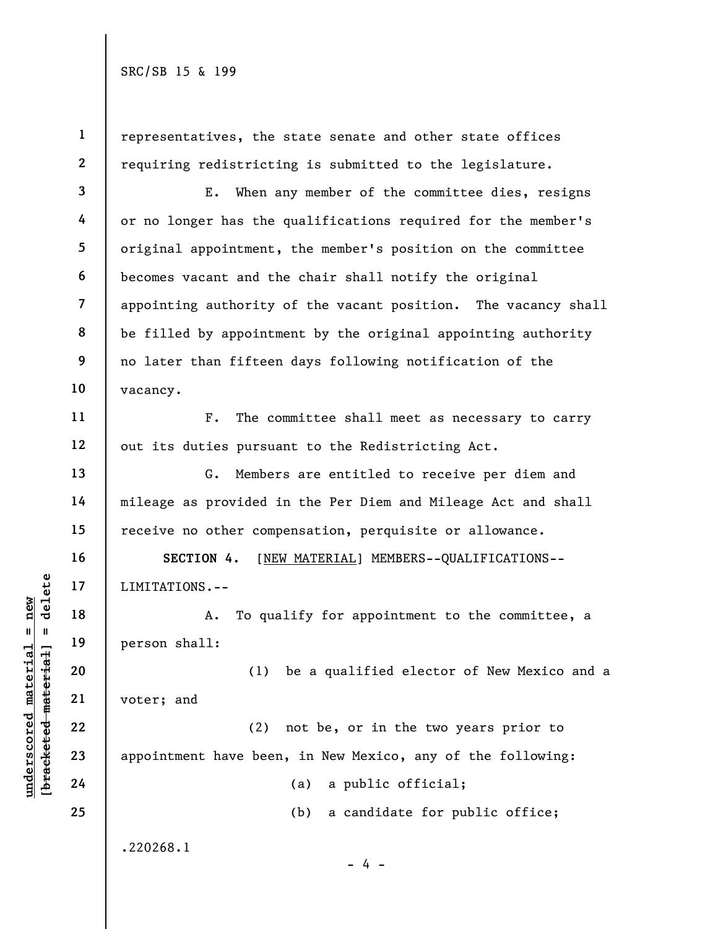1

representatives, the state senate and other state offices requiring redistricting is submitted to the legislature.

E. When any member of the committee dies, resigns or no longer has the qualifications required for the member's original appointment, the member's position on the committee becomes vacant and the chair shall notify the original appointing authority of the vacant position. The vacancy shall be filled by appointment by the original appointing authority no later than fifteen days following notification of the

F. The committee shall meet as necessary to carry out its duties pursuant to the Redistricting Act.

G. Members are entitled to receive per diem and mileage as provided in the Per Diem and Mileage Act and shall receive no other compensation, perquisite or allowance.

SECTION 4. [NEW MATERIAL] MEMBERS--QUALIFICATIONS--

A. To qualify for appointment to the committee, a

(1) be a qualified elector of New Mexico and a

(2) not be, or in the two years prior to appointment have been, in New Mexico, any of the following:

(a) a public official;

(b) a candidate for public office;

.220268.1

- 4 -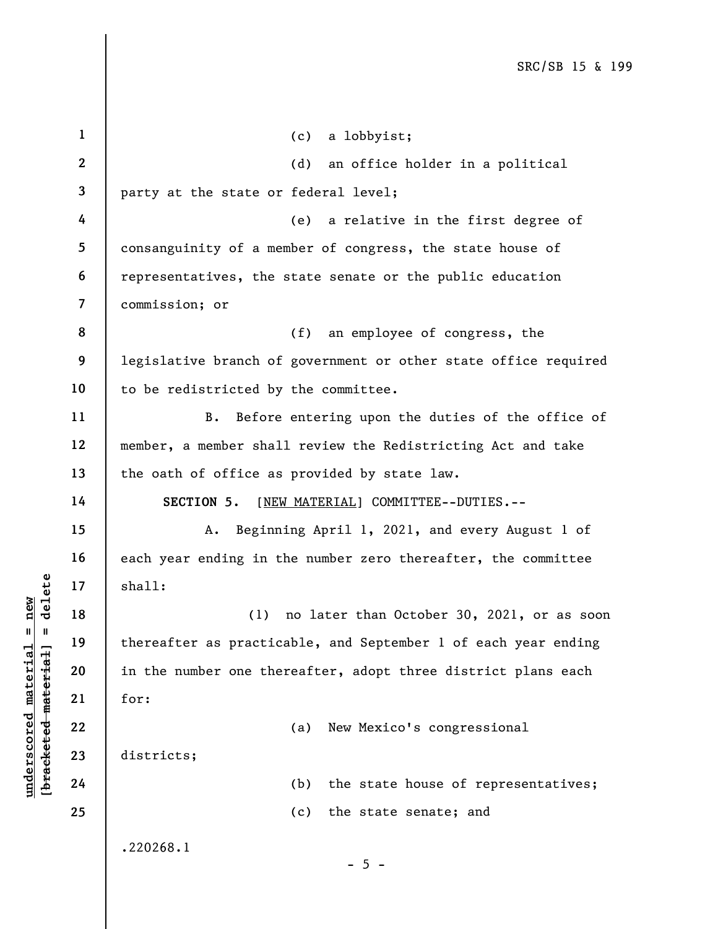|                                    | $\mathbf{1}$            | (c)<br>a lobbyist;                                              |
|------------------------------------|-------------------------|-----------------------------------------------------------------|
|                                    | $\mathbf{2}$            | an office holder in a political<br>(d)                          |
|                                    | 3                       | party at the state or federal level;                            |
|                                    | 4                       | (e)<br>a relative in the first degree of                        |
|                                    | 5                       | consanguinity of a member of congress, the state house of       |
|                                    | 6                       | representatives, the state senate or the public education       |
|                                    | $\overline{\mathbf{z}}$ | commission; or                                                  |
|                                    | 8                       | (f)<br>an employee of congress, the                             |
|                                    | 9                       | legislative branch of government or other state office required |
|                                    | 10                      | to be redistricted by the committee.                            |
|                                    | 11                      | Before entering upon the duties of the office of<br><b>B.</b>   |
|                                    | 12                      | member, a member shall review the Redistricting Act and take    |
|                                    | 13                      | the oath of office as provided by state law.                    |
|                                    | 14                      | [NEW MATERIAL] COMMITTEE--DUTIES.--<br>SECTION 5.               |
|                                    | 15                      | Beginning April 1, 2021, and every August 1 of<br>A.            |
|                                    | 16                      | each year ending in the number zero thereafter, the committee   |
| delete                             | 17                      | shall:                                                          |
| new                                | 18                      | no later than October 30, 2021, or as soon<br>(1)               |
| $\mathbf I$<br>$\mathbf{I}$        | 19                      | thereafter as practicable, and September 1 of each year ending  |
|                                    | 20                      | in the number one thereafter, adopt three district plans each   |
| material                           | 21                      | for:                                                            |
|                                    | 22                      | New Mexico's congressional<br>(a)                               |
| underscored material<br>[bracketed | 23                      | districts;                                                      |
|                                    | 24                      | the state house of representatives;<br>(b)                      |
|                                    | 25                      | the state senate; and<br>(c)                                    |
|                                    |                         | .220268.1                                                       |
|                                    |                         | $-5 -$                                                          |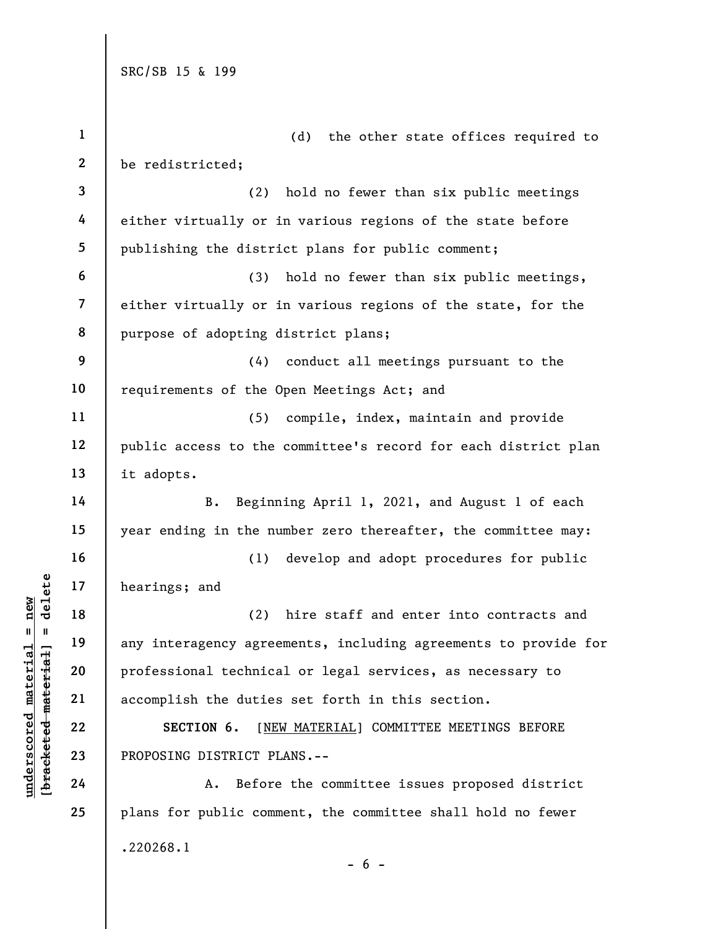|                                             | $\mathbf{1}$            | (d)<br>the other state offices required to                      |
|---------------------------------------------|-------------------------|-----------------------------------------------------------------|
|                                             | $\boldsymbol{2}$        | be redistricted;                                                |
|                                             | 3                       | (2)<br>hold no fewer than six public meetings                   |
|                                             | 4                       | either virtually or in various regions of the state before      |
|                                             | 5                       | publishing the district plans for public comment;               |
|                                             | 6                       | hold no fewer than six public meetings,<br>(3)                  |
|                                             | $\overline{\mathbf{z}}$ | either virtually or in various regions of the state, for the    |
|                                             | 8                       | purpose of adopting district plans;                             |
|                                             | 9                       | conduct all meetings pursuant to the<br>(4)                     |
|                                             | 10                      | requirements of the Open Meetings Act; and                      |
|                                             | 11                      | (5)<br>compile, index, maintain and provide                     |
|                                             | 12                      | public access to the committee's record for each district plan  |
|                                             | 13                      | it adopts.                                                      |
|                                             | 14                      | B.<br>Beginning April 1, 2021, and August 1 of each             |
|                                             | 15                      | year ending in the number zero thereafter, the committee may:   |
|                                             | 16                      | develop and adopt procedures for public<br>(1)                  |
| delete                                      | 17                      | hearings; and                                                   |
| new                                         | 18                      | (2)<br>hire staff and enter into contracts and                  |
| $\mathsf{II}^-$<br>- 11                     | 19                      | any interagency agreements, including agreements to provide for |
| underscored material<br>[bracketed material | 20                      | professional technical or legal services, as necessary to       |
|                                             | 21                      | accomplish the duties set forth in this section.                |
|                                             | 22                      | [NEW MATERIAL] COMMITTEE MEETINGS BEFORE<br>SECTION 6.          |
|                                             | 23                      | PROPOSING DISTRICT PLANS.--                                     |
|                                             | 24                      | Before the committee issues proposed district<br>Α.             |
|                                             | 25                      | plans for public comment, the committee shall hold no fewer     |
|                                             |                         | .220268.1                                                       |

 $- 6 -$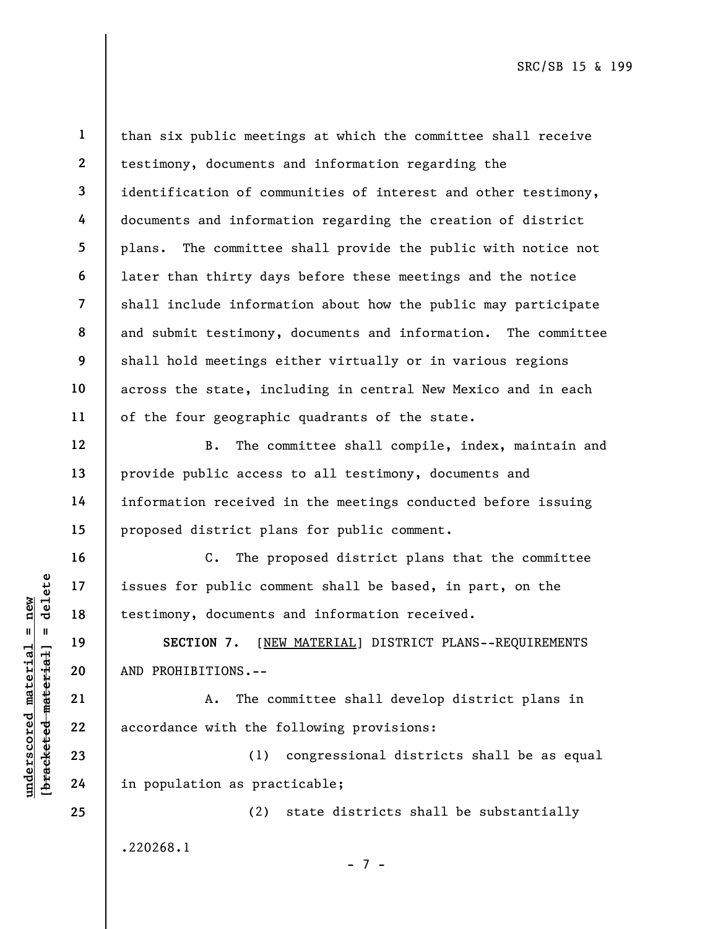12

13

14

15

16

17

18

19

20

21

22

23

24

25

1 2 3 4 5 6 7 8 9 10 11 than six public meetings at which the committee shall receive testimony, documents and information regarding the identification of communities of interest and other testimony, documents and information regarding the creation of district plans. The committee shall provide the public with notice not later than thirty days before these meetings and the notice shall include information about how the public may participate and submit testimony, documents and information. The committee shall hold meetings either virtually or in various regions across the state, including in central New Mexico and in each of the four geographic quadrants of the state.

 B. The committee shall compile, index, maintain and provide public access to all testimony, documents and information received in the meetings conducted before issuing proposed district plans for public comment.

UNDERETION 7. [NET 19]<br>
UNDERETION 7. [NET 19]<br>
UNDERGRESS SECTION 7. [NET 19]<br>
UNDERGRESS SECTION 7. [NET 19]<br>
21 A. The co<br>
22 accordance with the f<br>
23 (1)<br>
24 in population as prac C. The proposed district plans that the committee issues for public comment shall be based, in part, on the testimony, documents and information received.

SECTION 7. [NEW MATERIAL] DISTRICT PLANS--REQUIREMENTS AND PROHIBITIONS.--

A. The committee shall develop district plans in accordance with the following provisions:

(1) congressional districts shall be as equal in population as practicable;

(2) state districts shall be substantially .220268.1

- 7 -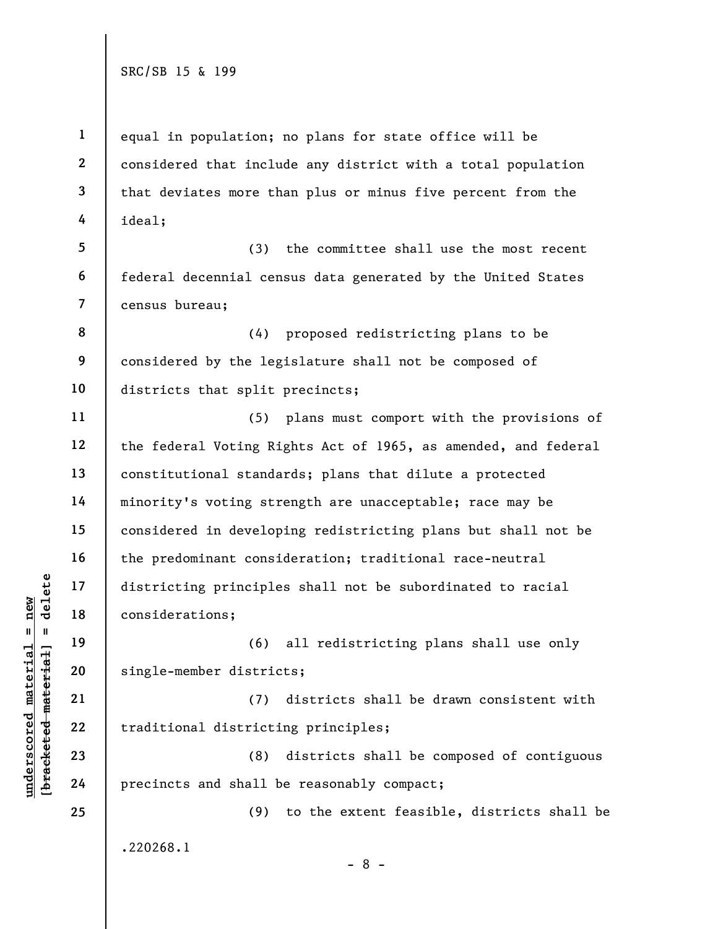1 2 3 4 equal in population; no plans for state office will be considered that include any district with a total population that deviates more than plus or minus five percent from the ideal;

5 6 7 (3) the committee shall use the most recent federal decennial census data generated by the United States census bureau;

8 9 10 (4) proposed redistricting plans to be considered by the legislature shall not be composed of districts that split precincts;

underscored material material districting principle<br>
under 18<br>
under 19<br>
under 19<br>
under 19<br>
20<br>
under 19<br>
21<br>
22<br>
under 19<br>
22<br>
under 19<br>
22<br>
under 19<br>
22<br>
under 19<br>
23<br>
24<br>
Precincts and shall b 11 12 13 14 15 16 17 18 (5) plans must comport with the provisions of the federal Voting Rights Act of 1965, as amended, and federal constitutional standards; plans that dilute a protected minority's voting strength are unacceptable; race may be considered in developing redistricting plans but shall not be the predominant consideration; traditional race-neutral districting principles shall not be subordinated to racial considerations;

(6) all redistricting plans shall use only single-member districts;

(7) districts shall be drawn consistent with traditional districting principles;

(8) districts shall be composed of contiguous precincts and shall be reasonably compact;

(9) to the extent feasible, districts shall be .220268.1

19

20

21

22

23

24

25

- 8 -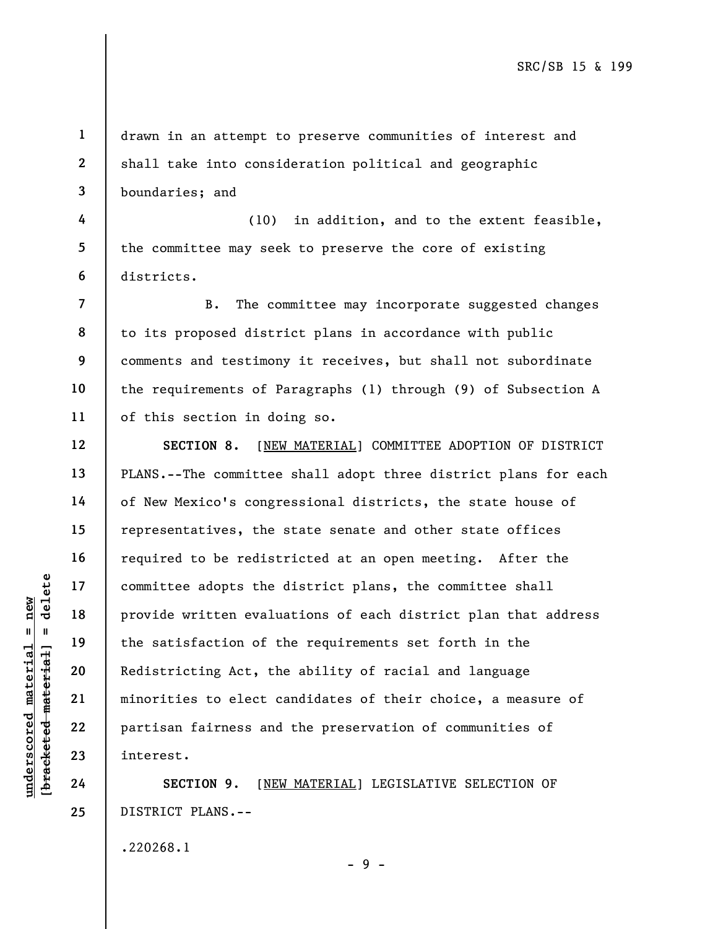1 2 3 drawn in an attempt to preserve communities of interest and shall take into consideration political and geographic boundaries; and

4 5 6 (10) in addition, and to the extent feasible, the committee may seek to preserve the core of existing districts.

8 9 B. The committee may incorporate suggested changes to its proposed district plans in accordance with public comments and testimony it receives, but shall not subordinate the requirements of Paragraphs (1) through (9) of Subsection A of this section in doing so.

underscored matter adopts the<br>
and the provide written evalue<br>
the satisfaction of the satisfaction of the satisfaction of the satisfaction of the satisfaction of the satisfaction of the satisfaction of the satisfaction of SECTION 8. [NEW MATERIAL] COMMITTEE ADOPTION OF DISTRICT PLANS.--The committee shall adopt three district plans for each of New Mexico's congressional districts, the state house of representatives, the state senate and other state offices required to be redistricted at an open meeting. After the committee adopts the district plans, the committee shall provide written evaluations of each district plan that address the satisfaction of the requirements set forth in the Redistricting Act, the ability of racial and language minorities to elect candidates of their choice, a measure of partisan fairness and the preservation of communities of interest.

SECTION 9. [NEW MATERIAL] LEGISLATIVE SELECTION OF DISTRICT PLANS.--

- 9 -

.220268.1

7

10

11

12

13

14

15

16

17

18

19

20

21

22

23

24

25